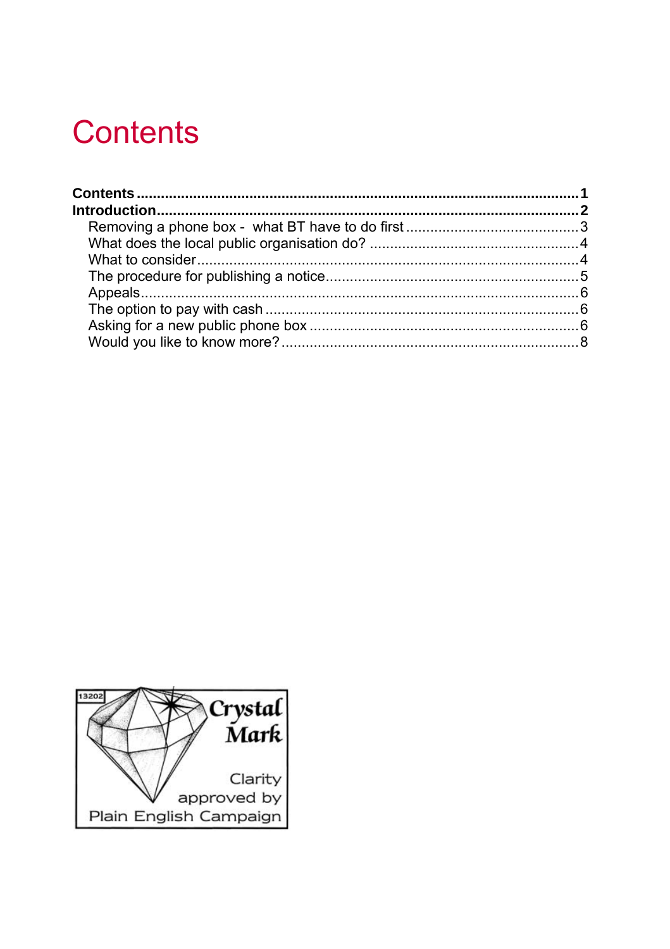# <span id="page-0-0"></span>**Contents**

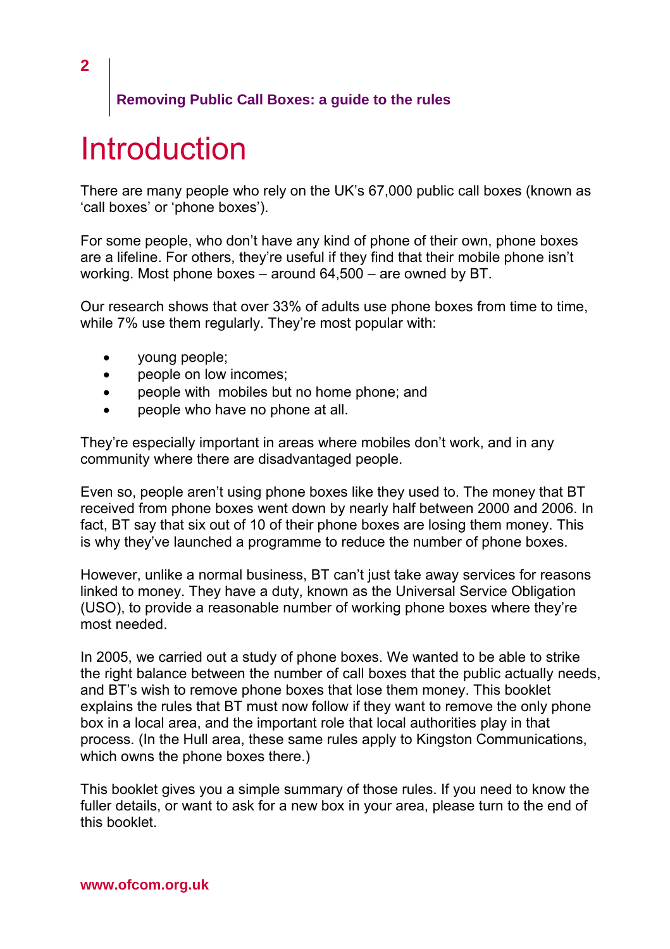# **Introduction**

There are many people who rely on the UK's 67,000 public call boxes (known as 'call boxes' or 'phone boxes').

For some people, who don't have any kind of phone of their own, phone boxes are a lifeline. For others, they're useful if they find that their mobile phone isn't working. Most phone boxes – around 64,500 – are owned by BT.

Our research shows that over 33% of adults use phone boxes from time to time, while 7% use them regularly. They're most popular with:

- young people;
- people on low incomes:
- people with mobiles but no home phone; and
- people who have no phone at all.

They're especially important in areas where mobiles don't work, and in any community where there are disadvantaged people.

Even so, people aren't using phone boxes like they used to. The money that BT received from phone boxes went down by nearly half between 2000 and 2006. In fact, BT say that six out of 10 of their phone boxes are losing them money. This is why they've launched a programme to reduce the number of phone boxes.

However, unlike a normal business, BT can't just take away services for reasons linked to money. They have a duty, known as the Universal Service Obligation (USO), to provide a reasonable number of working phone boxes where they're most needed.

In 2005, we carried out a study of phone boxes. We wanted to be able to strike the right balance between the number of call boxes that the public actually needs, and BT's wish to remove phone boxes that lose them money. This booklet explains the rules that BT must now follow if they want to remove the only phone box in a local area, and the important role that local authorities play in that process. (In the Hull area, these same rules apply to Kingston Communications, which owns the phone boxes there.)

This booklet gives you a simple summary of those rules. If you need to know the fuller details, or want to ask for a new box in your area, please turn to the end of this booklet.

<span id="page-1-0"></span>**2**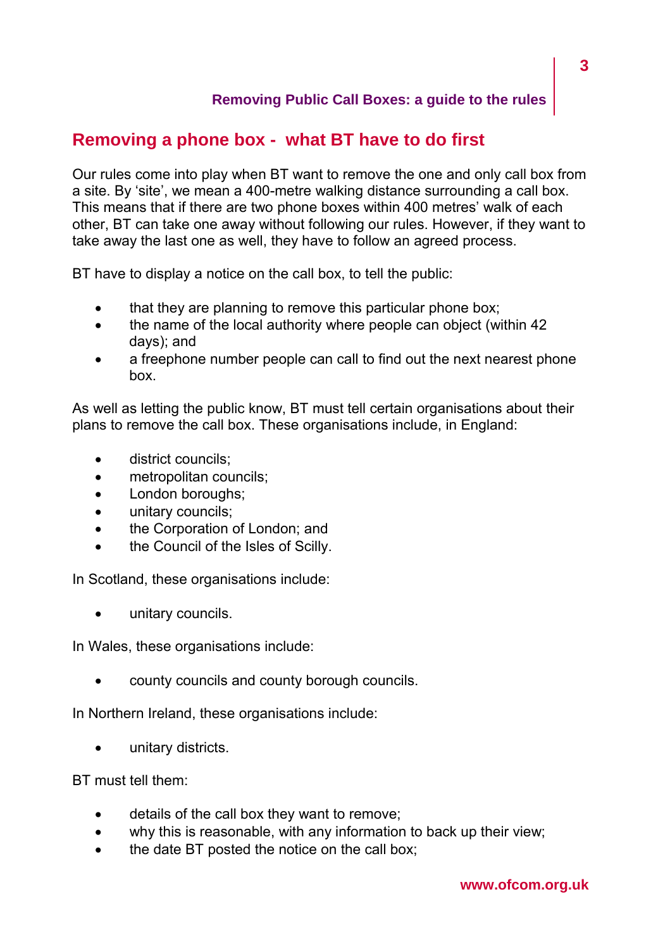## <span id="page-2-0"></span>**Removing a phone box - what BT have to do first**

Our rules come into play when BT want to remove the one and only call box from a site. By 'site', we mean a 400-metre walking distance surrounding a call box. This means that if there are two phone boxes within 400 metres' walk of each other, BT can take one away without following our rules. However, if they want to take away the last one as well, they have to follow an agreed process.

BT have to display a notice on the call box, to tell the public:

- that they are planning to remove this particular phone box;
- the name of the local authority where people can object (within 42 days); and
- a freephone number people can call to find out the next nearest phone box.

As well as letting the public know, BT must tell certain organisations about their plans to remove the call box. These organisations include, in England:

- district councils;
- metropolitan councils:
- London boroughs;
- unitary councils;
- the Corporation of London; and
- the Council of the Isles of Scilly.

In Scotland, these organisations include:

unitary councils.

In Wales, these organisations include:

• county councils and county borough councils.

In Northern Ireland, these organisations include:

unitary districts.

BT must tell them:

- details of the call box they want to remove;
- why this is reasonable, with any information to back up their view;
- the date BT posted the notice on the call box: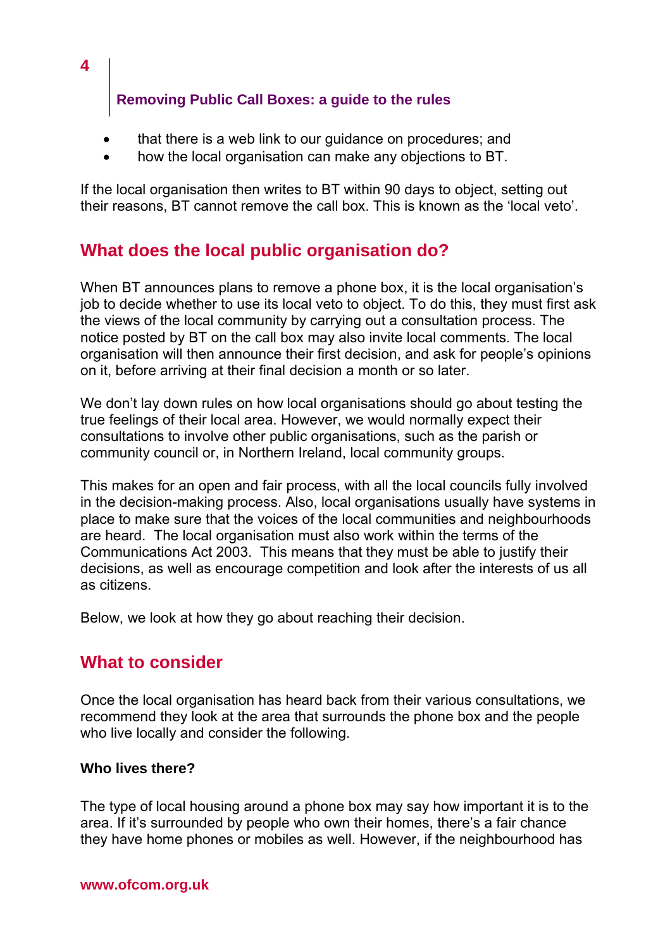- that there is a web link to our guidance on procedures; and
- how the local organisation can make any objections to BT.

If the local organisation then writes to BT within 90 days to object, setting out their reasons, BT cannot remove the call box. This is known as the 'local veto'.

## **What does the local public organisation do?**

When BT announces plans to remove a phone box, it is the local organisation's job to decide whether to use its local veto to object. To do this, they must first ask the views of the local community by carrying out a consultation process. The notice posted by BT on the call box may also invite local comments. The local organisation will then announce their first decision, and ask for people's opinions on it, before arriving at their final decision a month or so later.

We don't lay down rules on how local organisations should go about testing the true feelings of their local area. However, we would normally expect their consultations to involve other public organisations, such as the parish or community council or, in Northern Ireland, local community groups.

This makes for an open and fair process, with all the local councils fully involved in the decision-making process. Also, local organisations usually have systems in place to make sure that the voices of the local communities and neighbourhoods are heard. The local organisation must also work within the terms of the Communications Act 2003. This means that they must be able to justify their decisions, as well as encourage competition and look after the interests of us all as citizens.

Below, we look at how they go about reaching their decision.

## **What to consider**

<span id="page-3-0"></span>**4** 

Once the local organisation has heard back from their various consultations, we recommend they look at the area that surrounds the phone box and the people who live locally and consider the following.

### **Who lives there?**

The type of local housing around a phone box may say how important it is to the area. If it's surrounded by people who own their homes, there's a fair chance they have home phones or mobiles as well. However, if the neighbourhood has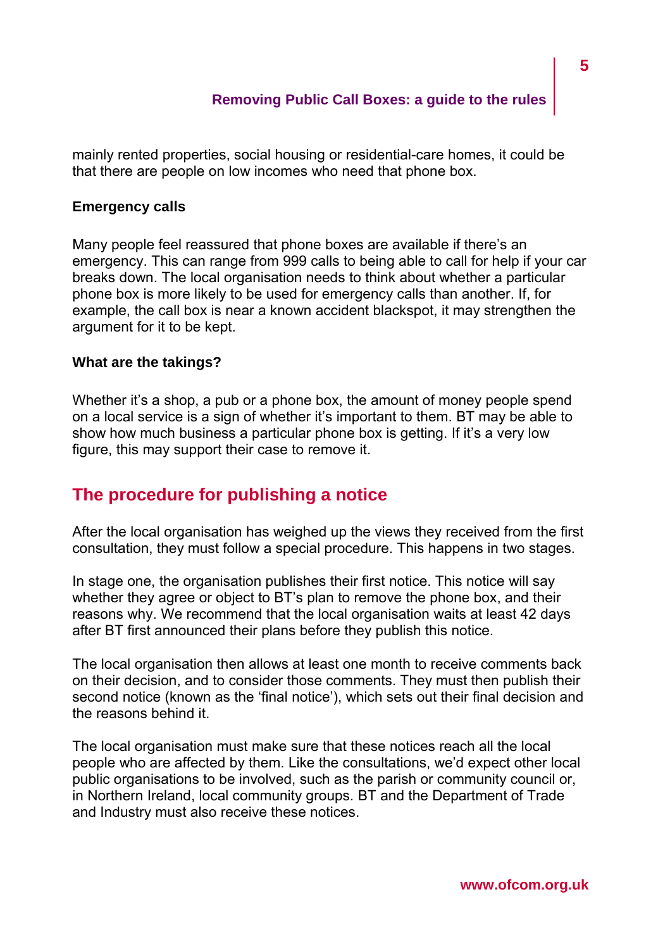<span id="page-4-0"></span>mainly rented properties, social housing or residential-care homes, it could be that there are people on low incomes who need that phone box.

#### **Emergency calls**

Many people feel reassured that phone boxes are available if there's an emergency. This can range from 999 calls to being able to call for help if your car breaks down. The local organisation needs to think about whether a particular phone box is more likely to be used for emergency calls than another. If, for example, the call box is near a known accident blackspot, it may strengthen the argument for it to be kept.

#### **What are the takings?**

Whether it's a shop, a pub or a phone box, the amount of money people spend on a local service is a sign of whether it's important to them. BT may be able to show how much business a particular phone box is getting. If it's a very low figure, this may support their case to remove it.

## **The procedure for publishing a notice**

After the local organisation has weighed up the views they received from the first consultation, they must follow a special procedure. This happens in two stages.

In stage one, the organisation publishes their first notice. This notice will say whether they agree or object to BT's plan to remove the phone box, and their reasons why. We recommend that the local organisation waits at least 42 days after BT first announced their plans before they publish this notice.

The local organisation then allows at least one month to receive comments back on their decision, and to consider those comments. They must then publish their second notice (known as the 'final notice'), which sets out their final decision and the reasons behind it.

The local organisation must make sure that these notices reach all the local people who are affected by them. Like the consultations, we'd expect other local public organisations to be involved, such as the parish or community council or, in Northern Ireland, local community groups. BT and the Department of Trade and Industry must also receive these notices.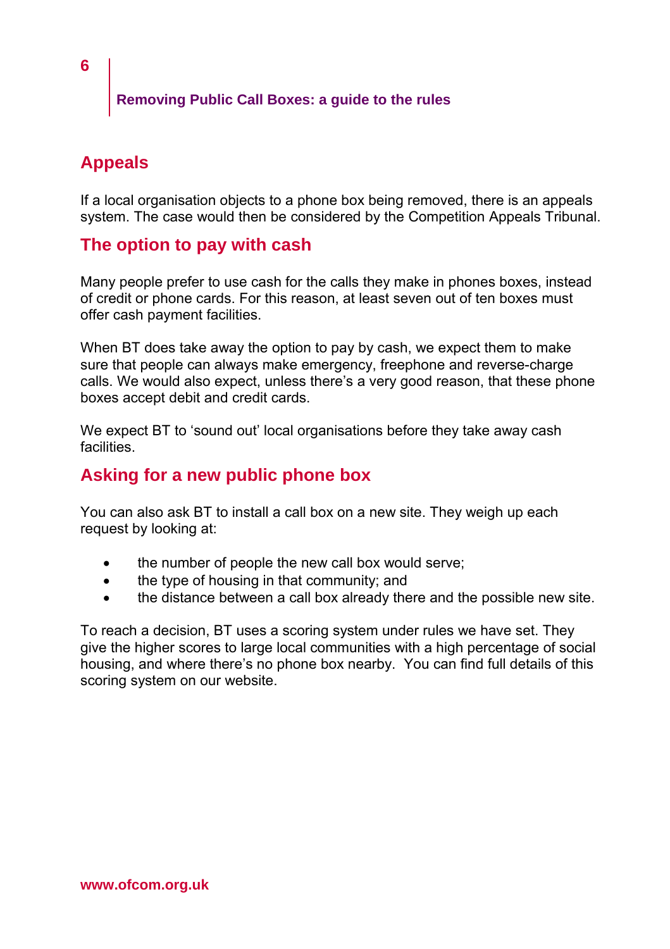# <span id="page-5-0"></span>**Appeals**

If a local organisation objects to a phone box being removed, there is an appeals system. The case would then be considered by the Competition Appeals Tribunal.

## **The option to pay with cash**

Many people prefer to use cash for the calls they make in phones boxes, instead of credit or phone cards. For this reason, at least seven out of ten boxes must offer cash payment facilities.

When BT does take away the option to pay by cash, we expect them to make sure that people can always make emergency, freephone and reverse-charge calls. We would also expect, unless there's a very good reason, that these phone boxes accept debit and credit cards.

We expect BT to 'sound out' local organisations before they take away cash facilities.

## **Asking for a new public phone box**

You can also ask BT to install a call box on a new site. They weigh up each request by looking at:

- the number of people the new call box would serve;
- the type of housing in that community; and
- the distance between a call box already there and the possible new site.

To reach a decision, BT uses a scoring system under rules we have set. They give the higher scores to large local communities with a high percentage of social housing, and where there's no phone box nearby. You can find full details of this scoring system on our website.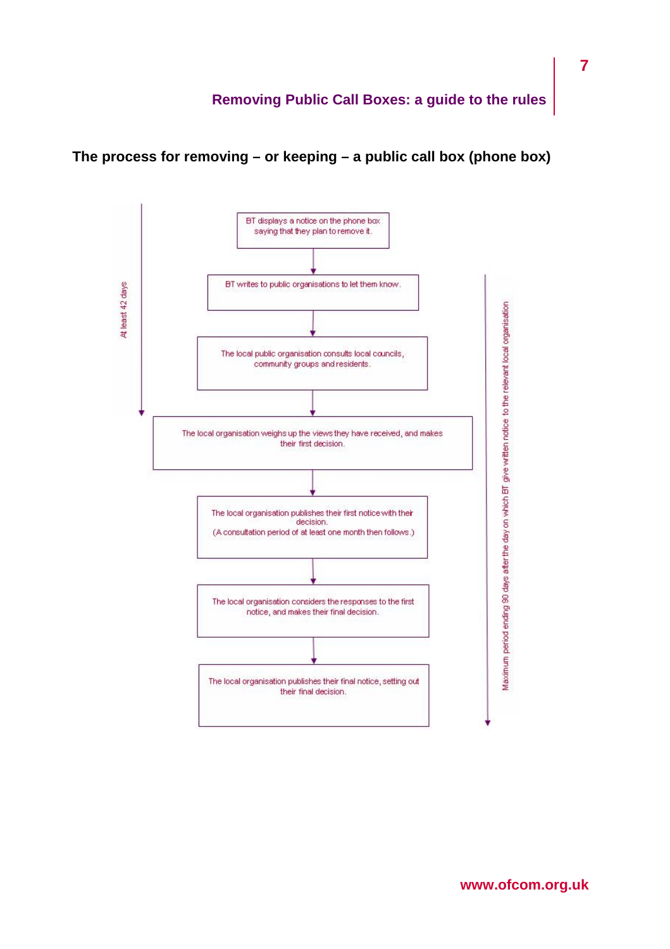

**The process for removing – or keeping – a public call box (phone box)**